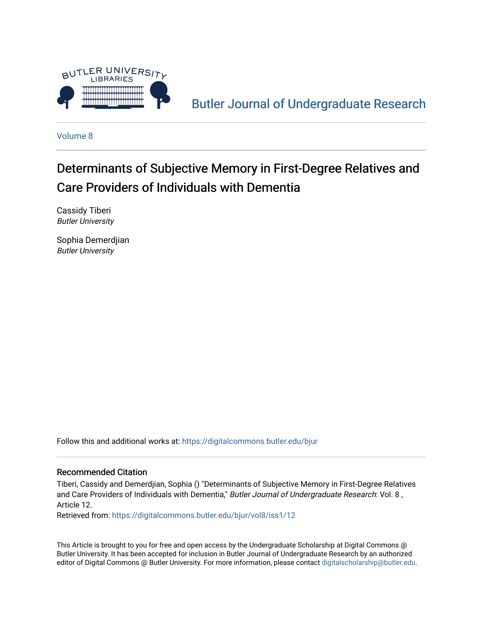

[Butler Journal of Undergraduate Research](https://digitalcommons.butler.edu/bjur) 

[Volume 8](https://digitalcommons.butler.edu/bjur/vol8)

# Determinants of Subjective Memory in First-Degree Relatives and Care Providers of Individuals with Dementia

Cassidy Tiberi Butler University

Sophia Demerdjian Butler University

Follow this and additional works at: [https://digitalcommons.butler.edu/bjur](https://digitalcommons.butler.edu/bjur?utm_source=digitalcommons.butler.edu%2Fbjur%2Fvol8%2Fiss1%2F12&utm_medium=PDF&utm_campaign=PDFCoverPages) 

#### Recommended Citation

Tiberi, Cassidy and Demerdjian, Sophia () "Determinants of Subjective Memory in First-Degree Relatives and Care Providers of Individuals with Dementia," Butler Journal of Undergraduate Research: Vol. 8, Article 12.

Retrieved from: [https://digitalcommons.butler.edu/bjur/vol8/iss1/12](https://digitalcommons.butler.edu/bjur/vol8/iss1/12?utm_source=digitalcommons.butler.edu%2Fbjur%2Fvol8%2Fiss1%2F12&utm_medium=PDF&utm_campaign=PDFCoverPages) 

This Article is brought to you for free and open access by the Undergraduate Scholarship at Digital Commons @ Butler University. It has been accepted for inclusion in Butler Journal of Undergraduate Research by an authorized editor of Digital Commons @ Butler University. For more information, please contact [digitalscholarship@butler.edu.](mailto:digitalscholarship@butler.edu)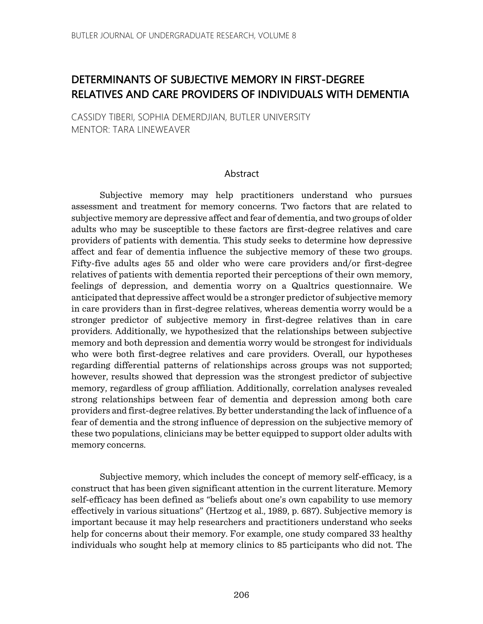# DETERMINANTS OF SUBJECTIVE MEMORY IN FIRST-DEGREE RELATIVES AND CARE PROVIDERS OF INDIVIDUALS WITH DEMENTIA

CASSIDY TIBERI, SOPHIA DEMERDJIAN, BUTLER UNIVERSITY MENTOR: TARA LINEWEAVER

#### Abstract

Subjective memory may help practitioners understand who pursues assessment and treatment for memory concerns. Two factors that are related to subjective memory are depressive affect and fear of dementia, and two groups of older adults who may be susceptible to these factors are first-degree relatives and care providers of patients with dementia. This study seeks to determine how depressive affect and fear of dementia influence the subjective memory of these two groups. Fifty-five adults ages 55 and older who were care providers and/or first-degree relatives of patients with dementia reported their perceptions of their own memory, feelings of depression, and dementia worry on a Qualtrics questionnaire. We anticipated that depressive affect would be a stronger predictor of subjective memory in care providers than in first-degree relatives, whereas dementia worry would be a stronger predictor of subjective memory in first-degree relatives than in care providers. Additionally, we hypothesized that the relationships between subjective memory and both depression and dementia worry would be strongest for individuals who were both first-degree relatives and care providers. Overall, our hypotheses regarding differential patterns of relationships across groups was not supported; however, results showed that depression was the strongest predictor of subjective memory, regardless of group affiliation. Additionally, correlation analyses revealed strong relationships between fear of dementia and depression among both care providers and first-degree relatives. By better understanding the lack of influence of a fear of dementia and the strong influence of depression on the subjective memory of these two populations, clinicians may be better equipped to support older adults with memory concerns.

Subjective memory, which includes the concept of memory self-efficacy, is a construct that has been given significant attention in the current literature. Memory self-efficacy has been defined as "beliefs about one's own capability to use memory effectively in various situations" (Hertzog et al., 1989, p. 687). Subjective memory is important because it may help researchers and practitioners understand who seeks help for concerns about their memory. For example, one study compared 33 healthy individuals who sought help at memory clinics to 85 participants who did not. The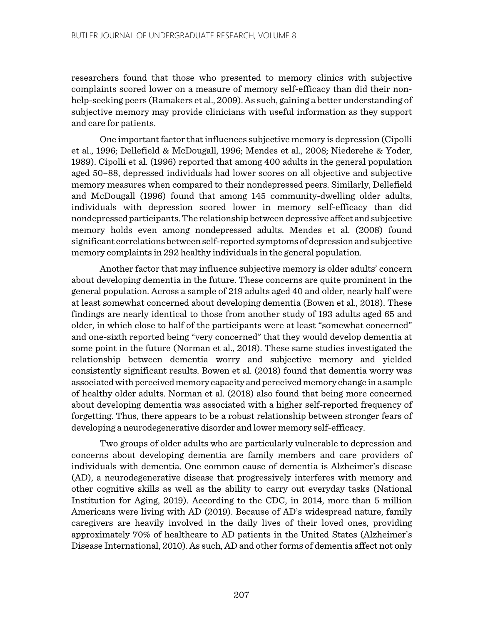researchers found that those who presented to memory clinics with subjective complaints scored lower on a measure of memory self-efficacy than did their nonhelp-seeking peers (Ramakers et al., 2009). As such, gaining a better understanding of subjective memory may provide clinicians with useful information as they support and care for patients.

One important factor that influences subjective memory is depression (Cipolli et al., 1996; Dellefield & McDougall, 1996; Mendes et al., 2008; Niederehe & Yoder, 1989). Cipolli et al. (1996) reported that among 400 adults in the general population aged 50–88, depressed individuals had lower scores on all objective and subjective memory measures when compared to their nondepressed peers. Similarly, Dellefield and McDougall (1996) found that among 145 community-dwelling older adults, individuals with depression scored lower in memory self-efficacy than did nondepressed participants. The relationship between depressive affect and subjective memory holds even among nondepressed adults. Mendes et al. (2008) found significant correlations between self-reported symptoms of depression and subjective memory complaints in 292 healthy individuals in the general population.

Another factor that may influence subjective memory is older adults' concern about developing dementia in the future. These concerns are quite prominent in the general population. Across a sample of 219 adults aged 40 and older, nearly half were at least somewhat concerned about developing dementia (Bowen et al., 2018). These findings are nearly identical to those from another study of 193 adults aged 65 and older, in which close to half of the participants were at least "somewhat concerned" and one-sixth reported being "very concerned" that they would develop dementia at some point in the future (Norman et al., 2018). These same studies investigated the relationship between dementia worry and subjective memory and yielded consistently significant results. Bowen et al. (2018) found that dementia worry was associated with perceived memory capacity and perceived memory change in a sample of healthy older adults. Norman et al. (2018) also found that being more concerned about developing dementia was associated with a higher self-reported frequency of forgetting. Thus, there appears to be a robust relationship between stronger fears of developing a neurodegenerative disorder and lower memory self-efficacy.

Two groups of older adults who are particularly vulnerable to depression and concerns about developing dementia are family members and care providers of individuals with dementia. One common cause of dementia is Alzheimer's disease (AD), a neurodegenerative disease that progressively interferes with memory and other cognitive skills as well as the ability to carry out everyday tasks (National Institution for Aging, 2019). According to the CDC, in 2014, more than 5 million Americans were living with AD (2019). Because of AD's widespread nature, family caregivers are heavily involved in the daily lives of their loved ones, providing approximately 70% of healthcare to AD patients in the United States (Alzheimer's Disease International, 2010). As such, AD and other forms of dementia affect not only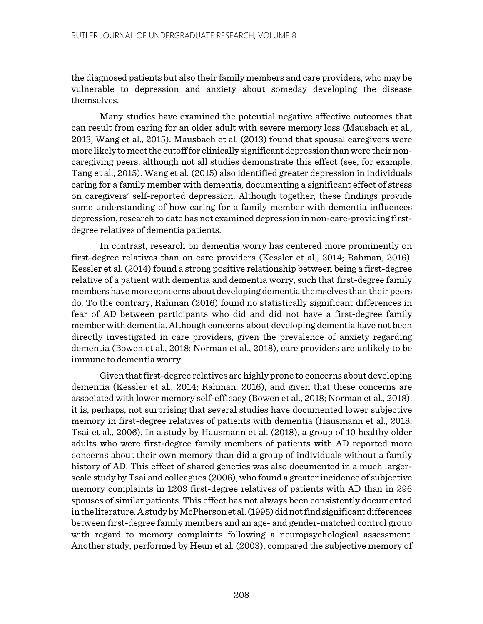the diagnosed patients but also their family members and care providers, who may be vulnerable to depression and anxiety about someday developing the disease themselves.

Many studies have examined the potential negative affective outcomes that can result from caring for an older adult with severe memory loss (Mausbach et al., 2013; Wang et al., 2015). Mausbach et al. (2013) found that spousal caregivers were more likely to meet the cutoff for clinically significant depression than were their noncaregiving peers, although not all studies demonstrate this effect (see, for example, Tang et al., 2015). Wang et al*.* (2015) also identified greater depression in individuals caring for a family member with dementia, documenting a significant effect of stress on caregivers' self-reported depression. Although together, these findings provide some understanding of how caring for a family member with dementia influences depression, research to date has not examined depression in non-care-providing firstdegree relatives of dementia patients.

In contrast, research on dementia worry has centered more prominently on first-degree relatives than on care providers (Kessler et al., 2014; Rahman, 2016). Kessler et al. (2014) found a strong positive relationship between being a first-degree relative of a patient with dementia and dementia worry, such that first-degree family members have more concerns about developing dementia themselves than their peers do. To the contrary, Rahman (2016) found no statistically significant differences in fear of AD between participants who did and did not have a first-degree family member with dementia. Although concerns about developing dementia have not been directly investigated in care providers, given the prevalence of anxiety regarding dementia (Bowen et al., 2018; Norman et al., 2018), care providers are unlikely to be immune to dementia worry.

Given that first-degree relatives are highly prone to concerns about developing dementia (Kessler et al., 2014; Rahman, 2016), and given that these concerns are associated with lower memory self-efficacy (Bowen et al., 2018; Norman et al., 2018), it is, perhaps, not surprising that several studies have documented lower subjective memory in first-degree relatives of patients with dementia (Hausmann et al., 2018; Tsai et al., 2006). In a study by Hausmann et al. (2018), a group of 10 healthy older adults who were first-degree family members of patients with AD reported more concerns about their own memory than did a group of individuals without a family history of AD. This effect of shared genetics was also documented in a much largerscale study by Tsai and colleagues (2006), who found a greater incidence of subjective memory complaints in 1203 first-degree relatives of patients with AD than in 296 spouses of similar patients. This effect has not always been consistently documented in the literature. A study by McPherson et al. (1995) did not find significant differences between first-degree family members and an age- and gender-matched control group with regard to memory complaints following a neuropsychological assessment. Another study, performed by Heun et al. (2003), compared the subjective memory of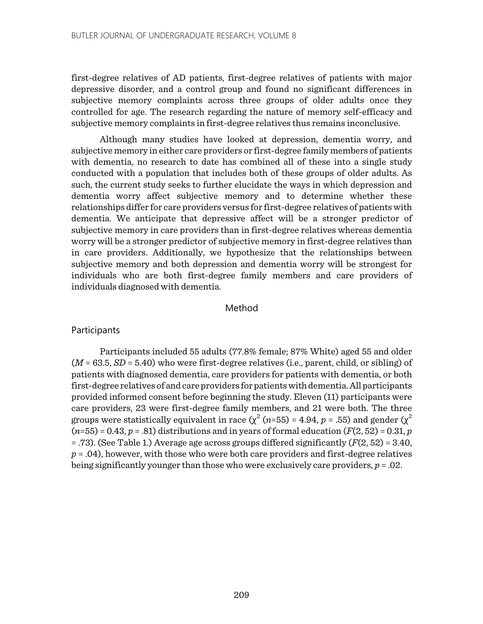first-degree relatives of AD patients, first-degree relatives of patients with major depressive disorder, and a control group and found no significant differences in subjective memory complaints across three groups of older adults once they controlled for age. The research regarding the nature of memory self-efficacy and subjective memory complaints in first-degree relatives thus remains inconclusive.

Although many studies have looked at depression, dementia worry, and subjective memory in either care providers or first-degree family members of patients with dementia, no research to date has combined all of these into a single study conducted with a population that includes both of these groups of older adults. As such, the current study seeks to further elucidate the ways in which depression and dementia worry affect subjective memory and to determine whether these relationships differ for care providers versus for first-degree relatives of patients with dementia. We anticipate that depressive affect will be a stronger predictor of subjective memory in care providers than in first-degree relatives whereas dementia worry will be a stronger predictor of subjective memory in first-degree relatives than in care providers. Additionally, we hypothesize that the relationships between subjective memory and both depression and dementia worry will be strongest for individuals who are both first-degree family members and care providers of individuals diagnosed with dementia.

#### Method

# **Participants**

Participants included 55 adults (77.8% female; 87% White) aged 55 and older (*M* = 63.5, *SD* = 5.40) who were first-degree relatives (i.e., parent, child, or sibling) of patients with diagnosed dementia, care providers for patients with dementia, or both first-degree relatives of and care providers for patients with dementia. All participants provided informed consent before beginning the study. Eleven (11) participants were care providers, 23 were first-degree family members, and 21 were both. The three groups were statistically equivalent in race  $(\chi^2(n=55) = 4.94, p = .55)$  and gender  $(\chi^2)$  $(n=55) = 0.43, p = .81$  distributions and in years of formal education  $(F(2, 52) = 0.31, p$ = .73). (See Table 1.) Average age across groups differed significantly (*F*(2, 52) = 3.40,  $p = .04$ ), however, with those who were both care providers and first-degree relatives being significantly younger than those who were exclusively care providers, *p* = .02.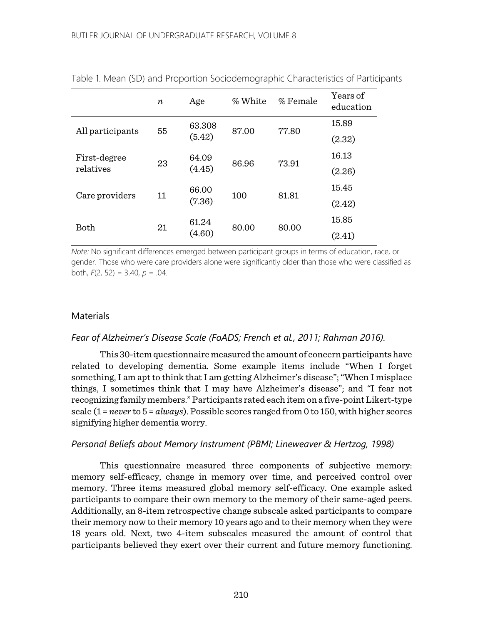|                  | $\boldsymbol{n}$ | Age             | % White | % Female | Years of<br>education |  |
|------------------|------------------|-----------------|---------|----------|-----------------------|--|
| All participants | 55               | 63.308          | 87.00   | 77.80    | 15.89                 |  |
|                  |                  | (5.42)          |         |          | (2.32)                |  |
| First-degree     | 23               | 64.09<br>(4.45) | 86.96   | 73.91    | 16.13                 |  |
| relatives        |                  |                 |         |          | (2.26)                |  |
| Care providers   | 11               | 66.00           | 100     | 81.81    | 15.45                 |  |
|                  |                  | (7.36)          |         |          | (2.42)                |  |
|                  | 21               | 61.24           |         |          | 15.85                 |  |
| Both             |                  | (4.60)          | 80.00   | 80.00    | (2.41)                |  |

Table 1. Mean (SD) and Proportion Sociodemographic Characteristics of Participants

*Note:* No significant differences emerged between participant groups in terms of education, race, or gender. Those who were care providers alone were significantly older than those who were classified as both, *F*(2, 52) = 3.40, *p* = .04.

# **Materials**

#### *Fear of Alzheimer's Disease Scale (FoADS; French et al., 2011; Rahman 2016).*

This 30-item questionnaire measured the amount of concern participants have related to developing dementia. Some example items include "When I forget something, I am apt to think that I am getting Alzheimer's disease"; "When I misplace things, I sometimes think that I may have Alzheimer's disease"; and "I fear not recognizing family members."Participants rated each item on a five-point Likert-type scale (1 = *never* to 5 = *always*). Possible scores ranged from 0 to 150, with higher scores signifying higher dementia worry.

#### *Personal Beliefs about Memory Instrument (PBMI; Lineweaver & Hertzog, 1998)*

This questionnaire measured three components of subjective memory: memory self-efficacy, change in memory over time, and perceived control over memory. Three items measured global memory self-efficacy. One example asked participants to compare their own memory to the memory of their same-aged peers. Additionally, an 8-item retrospective change subscale asked participants to compare their memory now to their memory 10 years ago and to their memory when they were 18 years old. Next, two 4-item subscales measured the amount of control that participants believed they exert over their current and future memory functioning.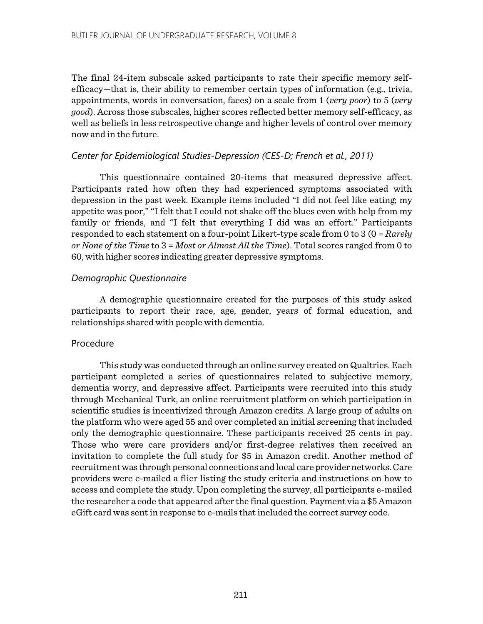The final 24-item subscale asked participants to rate their specific memory selfefficacy—that is, their ability to remember certain types of information (e.g., trivia, appointments, words in conversation, faces) on a scale from 1 (*very poor*) to 5 (*very good*). Across those subscales, higher scores reflected better memory self-efficacy, as well as beliefs in less retrospective change and higher levels of control over memory now and in the future.

# *Center for Epidemiological Studies-Depression (CES-D; French et al., 2011)*

This questionnaire contained 20-items that measured depressive affect. Participants rated how often they had experienced symptoms associated with depression in the past week. Example items included "I did not feel like eating; my appetite was poor," "I felt that I could not shake off the blues even with help from my family or friends, and "I felt that everything I did was an effort." Participants responded to each statement on a four-point Likert-type scale from 0 to 3 (0 = *Rarely or None of the Time* to 3 = *Most or Almost All the Time*). Total scores ranged from 0 to 60, with higher scores indicating greater depressive symptoms.

# *Demographic Questionnaire*

A demographic questionnaire created for the purposes of this study asked participants to report their race, age, gender, years of formal education, and relationships shared with people with dementia.

# Procedure

This study was conducted through an online survey created on Qualtrics. Each participant completed a series of questionnaires related to subjective memory, dementia worry, and depressive affect. Participants were recruited into this study through Mechanical Turk, an online recruitment platform on which participation in scientific studies is incentivized through Amazon credits. A large group of adults on the platform who were aged 55 and over completed an initial screening that included only the demographic questionnaire. These participants received 25 cents in pay. Those who were care providers and/or first-degree relatives then received an invitation to complete the full study for \$5 in Amazon credit. Another method of recruitment was through personal connections and local care provider networks. Care providers were e-mailed a flier listing the study criteria and instructions on how to access and complete the study. Upon completing the survey, all participants e-mailed the researcher a code that appeared after the final question. Payment via a \$5 Amazon eGift card was sent in response to e-mails that included the correct survey code.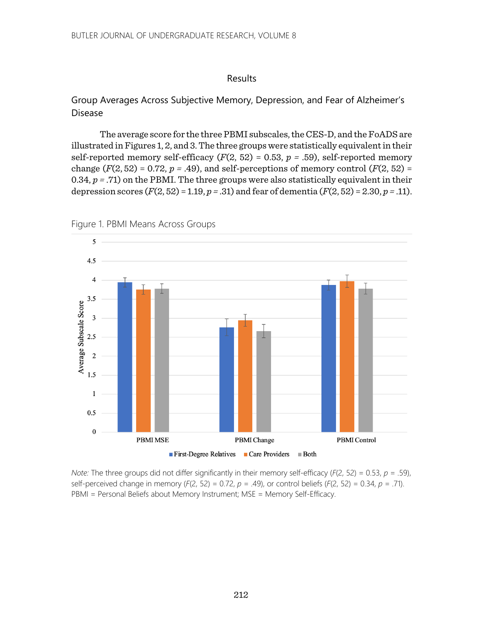# Results

# Group Averages Across Subjective Memory, Depression, and Fear of Alzheimer's Disease

The average score for the three PBMI subscales, the CES-D, and the FoADS are illustrated in Figures 1, 2, and 3. The three groups were statistically equivalent in their self-reported memory self-efficacy  $(F(2, 52) = 0.53, p = .59)$ , self-reported memory change  $(F(2, 52) = 0.72, p = .49)$ , and self-perceptions of memory control  $(F(2, 52) =$ 0.34, *p =* .71) on the PBMI. The three groups were also statistically equivalent in their depression scores  $(F(2, 52) = 1.19, p = .31)$  and fear of dementia  $(F(2, 52) = 2.30, p = .11)$ .



Figure 1. PBMI Means Across Groups

*Note:* The three groups did not differ significantly in their memory self-efficacy (*F*(2, 52) = 0.53, *p =* .59), self-perceived change in memory (*F*(2, 52) = 0.72, *p =* .49), or control beliefs (*F*(2, 52) = 0.34, *p =* .71). PBMI = Personal Beliefs about Memory Instrument; MSE = Memory Self-Efficacy.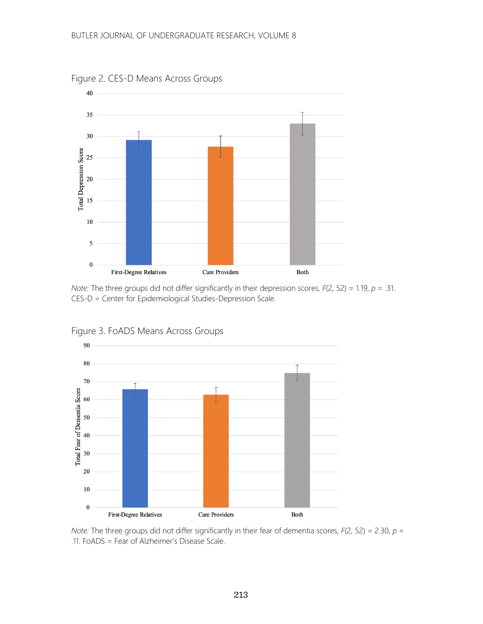

Figure 2. CES-D Means Across Groups

*Note:* The three groups did not differ significantly in their depression scores, *F*(2, 52) = 1.19, *p =* .31. CES-D = Center for Epidemiological Studies-Depression Scale.



Figure 3. FoADS Means Across Groups

*Note:* The three groups did not differ significantly in their fear of dementia scores, *F*(2, 52) = 2.30, *p =*  .11. FoADS = Fear of Alzheimer's Disease Scale.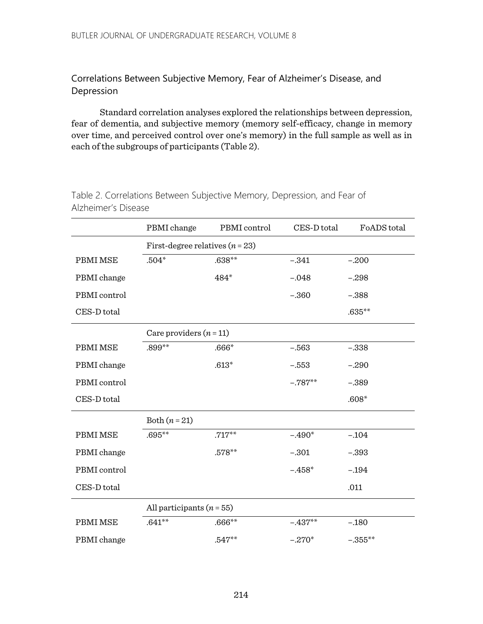Correlations Between Subjective Memory, Fear of Alzheimer's Disease, and Depression

Standard correlation analyses explored the relationships between depression, fear of dementia, and subjective memory (memory self-efficacy, change in memory over time, and perceived control over one's memory) in the full sample as well as in each of the subgroups of participants (Table 2).

|              | PBMI change                       | PBMI control | CES-D total | FoADS total |  |  |  |  |
|--------------|-----------------------------------|--------------|-------------|-------------|--|--|--|--|
|              | First-degree relatives $(n = 23)$ |              |             |             |  |  |  |  |
| PBMI MSE     | $.504*$                           | $.638**$     | $-.341$     | $-.200$     |  |  |  |  |
| PBMI change  |                                   | 484*         | $-.048$     | $-.298$     |  |  |  |  |
| PBMI control |                                   |              | $-.360$     | $-.388$     |  |  |  |  |
| CES-D total  |                                   |              |             | $.635**$    |  |  |  |  |
|              | Care providers $(n = 11)$         |              |             |             |  |  |  |  |
| PBMI MSE     | .899**                            | $.666*$      | $-.563$     | $-.338$     |  |  |  |  |
| PBMI change  |                                   | $.613*$      | $-.553$     | $-.290$     |  |  |  |  |
| PBMI control |                                   |              | $-.787**$   | $-.389$     |  |  |  |  |
| CES-D total  |                                   |              |             | $.608*$     |  |  |  |  |
|              | Both $(n=21)$                     |              |             |             |  |  |  |  |
| PBMI MSE     | $.695**$                          | $.717**$     | $-.490*$    | $-.104$     |  |  |  |  |
| PBMI change  |                                   | $.578**$     | $-.301$     | $-.393$     |  |  |  |  |
| PBMI control |                                   |              | $-.458*$    | $-.194$     |  |  |  |  |
| CES-D total  |                                   |              |             | .011        |  |  |  |  |
|              | All participants $(n = 55)$       |              |             |             |  |  |  |  |
| PBMI MSE     | $.641**$                          | $.666**$     | $-.437**$   | $-.180$     |  |  |  |  |
| PBMI change  |                                   | $.547**$     | $-.270*$    | $-.355**$   |  |  |  |  |

Table 2. Correlations Between Subjective Memory, Depression, and Fear of Alzheimer's Disease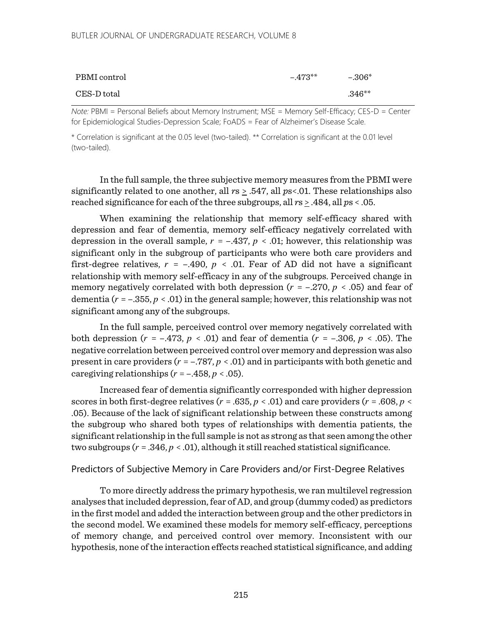#### BUTLER JOURNAL OF UNDERGRADUATE RESEARCH, VOLUME 8

| PBMI control | $-473**$ | $-.306*$ |
|--------------|----------|----------|
| CES-D total  |          | $.346**$ |

*Note:* PBMI = Personal Beliefs about Memory Instrument; MSE = Memory Self-Efficacy; CES-D = Center for Epidemiological Studies-Depression Scale; FoADS = Fear of Alzheimer's Disease Scale.

\* Correlation is significant at the 0.05 level (two-tailed). \*\* Correlation is significant at the 0.01 level (two-tailed).

In the full sample, the three subjective memory measures from the PBMI were significantly related to one another, all *r*s > .547, all *p*s<.01. These relationships also reached significance for each of the three subgroups, all *r*s > .484, all *p*s < .05.

When examining the relationship that memory self-efficacy shared with depression and fear of dementia, memory self-efficacy negatively correlated with depression in the overall sample,  $r = -.437$ ,  $p < .01$ ; however, this relationship was significant only in the subgroup of participants who were both care providers and first-degree relatives,  $r = -.490$ ,  $p < .01$ . Fear of AD did not have a significant relationship with memory self-efficacy in any of the subgroups. Perceived change in memory negatively correlated with both depression  $(r = -.270, p < .05)$  and fear of dementia  $(r = -0.355, p < 0.01)$  in the general sample; however, this relationship was not significant among any of the subgroups.

In the full sample, perceived control over memory negatively correlated with both depression ( $r = -0.473$ ,  $p < 0.01$ ) and fear of dementia ( $r = -0.306$ ,  $p < 0.05$ ). The negative correlation between perceived control over memory and depression was also present in care providers (*r* = –.787, *p* < .01) and in participants with both genetic and caregiving relationships  $(r = -.458, p < .05)$ .

Increased fear of dementia significantly corresponded with higher depression scores in both first-degree relatives ( $r = .635$ ,  $p < .01$ ) and care providers ( $r = .608$ ,  $p <$ .05). Because of the lack of significant relationship between these constructs among the subgroup who shared both types of relationships with dementia patients, the significant relationship in the full sample is not as strong as that seen among the other two subgroups  $(r = .346, p < .01)$ , although it still reached statistical significance.

#### Predictors of Subjective Memory in Care Providers and/or First-Degree Relatives

To more directly address the primary hypothesis, we ran multilevel regression analyses that included depression, fear of AD, and group (dummy coded) as predictors in the first model and added the interaction between group and the other predictors in the second model. We examined these models for memory self-efficacy, perceptions of memory change, and perceived control over memory. Inconsistent with our hypothesis, none of the interaction effects reached statistical significance, and adding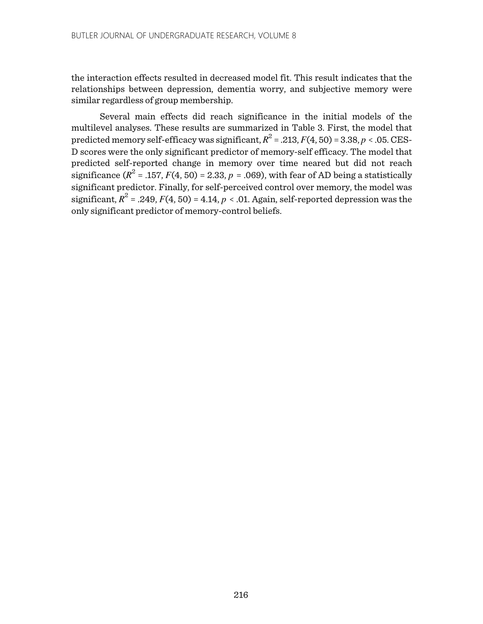the interaction effects resulted in decreased model fit. This result indicates that the relationships between depression, dementia worry, and subjective memory were similar regardless of group membership.

Several main effects did reach significance in the initial models of the multilevel analyses. These results are summarized in Table 3. First, the model that predicted memory self-efficacy was significant,  $R^2 = .213$ ,  $F(4, 50) = 3.38$ ,  $p < .05$ . CES-D scores were the only significant predictor of memory-self efficacy. The model that predicted self-reported change in memory over time neared but did not reach significance  $(R^2 = .157, F(4, 50) = 2.33, p = .069)$ , with fear of AD being a statistically significant predictor. Finally, for self-perceived control over memory, the model was significant,  $R^2 = .249$ ,  $F(4, 50) = 4.14$ ,  $p < .01$ . Again, self-reported depression was the only significant predictor of memory-control beliefs.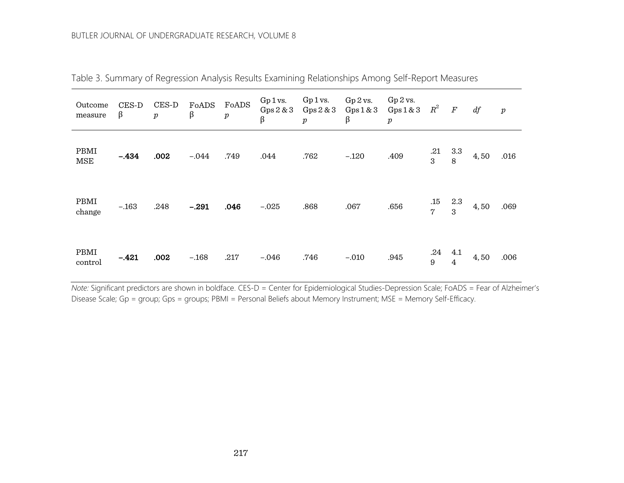#### BUTLER JOURNAL OF UNDERGRADUATE RESEARCH, VOLUME 8

| Outcome<br>measure | $CES-D$<br>β | $CES-D$<br>$\boldsymbol{p}$ | FoADS<br>$\beta$ | FoADS<br>$\boldsymbol{p}$ | Gp1vs.<br>Gps 2 & 3<br>β | Gp1vs.<br>Gps 2 & 3<br>$\boldsymbol{p}$ | $Gp$ 2 vs.<br>Gps1 & 3<br>β | $Gp$ 2 vs.<br>Gps1 & 3<br>$\boldsymbol{p}$ | $R^2$                 | $\boldsymbol{F}$      | df   | $\boldsymbol{p}$ |
|--------------------|--------------|-----------------------------|------------------|---------------------------|--------------------------|-----------------------------------------|-----------------------------|--------------------------------------------|-----------------------|-----------------------|------|------------------|
| PBMI<br><b>MSE</b> | $-.434$      | .002                        | $-.044$          | .749                      | .044                     | .762                                    | $-.120$                     | .409                                       | .21<br>3              | 3.3<br>8              | 4,50 | .016             |
| PBMI<br>change     | $-.163$      | .248                        | $-.291$          | .046                      | $-.025$                  | .868                                    | .067                        | .656                                       | .15<br>$\overline{7}$ | 2.3<br>3              | 4,50 | .069             |
| PBMI<br>control    | $-.421$      | .002                        | $-.168$          | .217                      | $-.046$                  | .746                                    | $-.010$                     | .945                                       | .24<br>9              | 4.1<br>$\overline{4}$ | 4,50 | .006             |

Table 3. Summary of Regression Analysis Results Examining Relationships Among Self-Report Measures

*Note:* Significant predictors are shown in boldface. CES-D = Center for Epidemiological Studies-Depression Scale; FoADS = Fear of Alzheimer's Disease Scale; Gp = group; Gps = groups; PBMI = Personal Beliefs about Memory Instrument; MSE = Memory Self-Efficacy.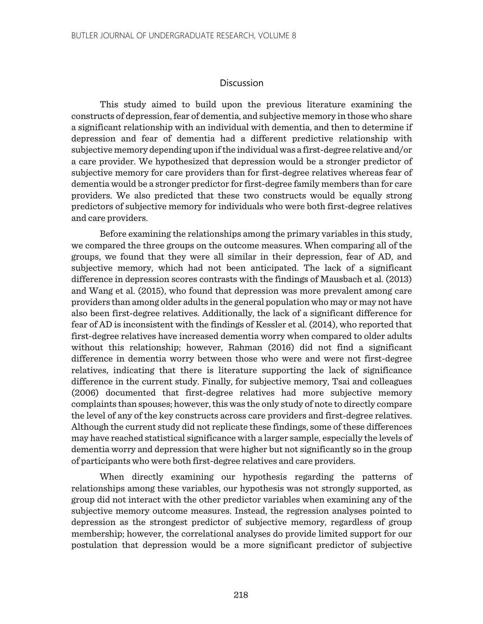#### **Discussion**

This study aimed to build upon the previous literature examining the constructs of depression, fear of dementia, and subjective memory in those who share a significant relationship with an individual with dementia, and then to determine if depression and fear of dementia had a different predictive relationship with subjective memory depending upon if the individual was a first-degree relative and/or a care provider. We hypothesized that depression would be a stronger predictor of subjective memory for care providers than for first-degree relatives whereas fear of dementia would be a stronger predictor for first-degree family members than for care providers. We also predicted that these two constructs would be equally strong predictors of subjective memory for individuals who were both first-degree relatives and care providers.

Before examining the relationships among the primary variables in this study, we compared the three groups on the outcome measures. When comparing all of the groups, we found that they were all similar in their depression, fear of AD, and subjective memory, which had not been anticipated. The lack of a significant difference in depression scores contrasts with the findings of Mausbach et al. (2013) and Wang et al. (2015), who found that depression was more prevalent among care providers than among older adults in the general population who may or may not have also been first-degree relatives. Additionally, the lack of a significant difference for fear of AD is inconsistent with the findings of Kessler et al. (2014), who reported that first-degree relatives have increased dementia worry when compared to older adults without this relationship; however, Rahman (2016) did not find a significant difference in dementia worry between those who were and were not first-degree relatives, indicating that there is literature supporting the lack of significance difference in the current study. Finally, for subjective memory, Tsai and colleagues (2006) documented that first-degree relatives had more subjective memory complaints than spouses; however, this was the only study of note to directly compare the level of any of the key constructs across care providers and first-degree relatives. Although the current study did not replicate these findings, some of these differences may have reached statistical significance with a larger sample, especially the levels of dementia worry and depression that were higher but not significantly so in the group of participants who were both first-degree relatives and care providers.

When directly examining our hypothesis regarding the patterns of relationships among these variables, our hypothesis was not strongly supported, as group did not interact with the other predictor variables when examining any of the subjective memory outcome measures. Instead, the regression analyses pointed to depression as the strongest predictor of subjective memory, regardless of group membership; however, the correlational analyses do provide limited support for our postulation that depression would be a more significant predictor of subjective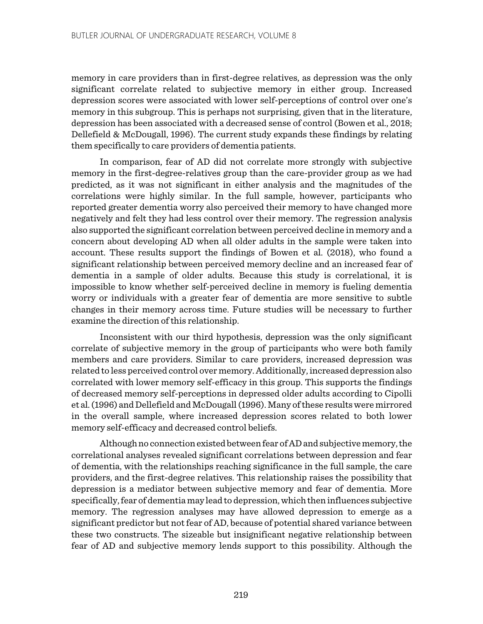memory in care providers than in first-degree relatives, as depression was the only significant correlate related to subjective memory in either group. Increased depression scores were associated with lower self-perceptions of control over one's memory in this subgroup. This is perhaps not surprising, given that in the literature, depression has been associated with a decreased sense of control (Bowen et al., 2018; Dellefield & McDougall, 1996). The current study expands these findings by relating them specifically to care providers of dementia patients.

In comparison, fear of AD did not correlate more strongly with subjective memory in the first-degree-relatives group than the care-provider group as we had predicted, as it was not significant in either analysis and the magnitudes of the correlations were highly similar. In the full sample, however, participants who reported greater dementia worry also perceived their memory to have changed more negatively and felt they had less control over their memory. The regression analysis also supported the significant correlation between perceived decline in memory and a concern about developing AD when all older adults in the sample were taken into account. These results support the findings of Bowen et al. (2018), who found a significant relationship between perceived memory decline and an increased fear of dementia in a sample of older adults. Because this study is correlational, it is impossible to know whether self-perceived decline in memory is fueling dementia worry or individuals with a greater fear of dementia are more sensitive to subtle changes in their memory across time. Future studies will be necessary to further examine the direction of this relationship.

Inconsistent with our third hypothesis, depression was the only significant correlate of subjective memory in the group of participants who were both family members and care providers. Similar to care providers, increased depression was related to less perceived control over memory. Additionally, increased depression also correlated with lower memory self-efficacy in this group. This supports the findings of decreased memory self-perceptions in depressed older adults according to Cipolli et al. (1996) and Dellefield and McDougall (1996). Many of these results were mirrored in the overall sample, where increased depression scores related to both lower memory self-efficacy and decreased control beliefs.

Although no connection existed between fear of AD and subjective memory, the correlational analyses revealed significant correlations between depression and fear of dementia, with the relationships reaching significance in the full sample, the care providers, and the first-degree relatives. This relationship raises the possibility that depression is a mediator between subjective memory and fear of dementia. More specifically, fear of dementia may lead to depression,which then influences subjective memory. The regression analyses may have allowed depression to emerge as a significant predictor but not fear of AD, because of potential shared variance between these two constructs. The sizeable but insignificant negative relationship between fear of AD and subjective memory lends support to this possibility. Although the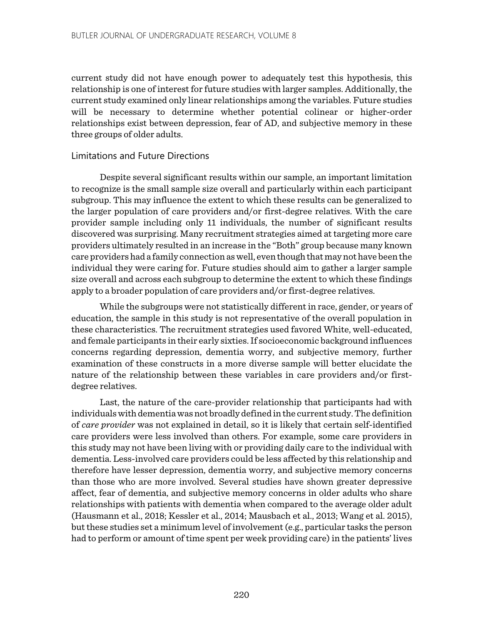current study did not have enough power to adequately test this hypothesis, this relationship is one of interest for future studies with larger samples. Additionally, the current study examined only linear relationships among the variables. Future studies will be necessary to determine whether potential colinear or higher-order relationships exist between depression, fear of AD, and subjective memory in these three groups of older adults.

# Limitations and Future Directions

Despite several significant results within our sample, an important limitation to recognize is the small sample size overall and particularly within each participant subgroup. This may influence the extent to which these results can be generalized to the larger population of care providers and/or first-degree relatives. With the care provider sample including only 11 individuals, the number of significant results discovered was surprising. Many recruitment strategies aimed at targeting more care providers ultimately resulted in an increase in the "Both" group because many known care providers had a family connection as well, even though that may not have been the individual they were caring for. Future studies should aim to gather a larger sample size overall and across each subgroup to determine the extent to which these findings apply to a broader population of care providers and/or first-degree relatives.

While the subgroups were not statistically different in race, gender, or years of education, the sample in this study is not representative of the overall population in these characteristics. The recruitment strategies used favored White, well-educated, and female participants in their early sixties. If socioeconomic background influences concerns regarding depression, dementia worry, and subjective memory, further examination of these constructs in a more diverse sample will better elucidate the nature of the relationship between these variables in care providers and/or firstdegree relatives.

Last, the nature of the care-provider relationship that participants had with individualswith dementia was not broadly defined in the current study. The definition of *care provider* was not explained in detail, so it is likely that certain self-identified care providers were less involved than others. For example, some care providers in this study may not have been living with or providing daily care to the individual with dementia. Less-involved care providers could be less affected by this relationship and therefore have lesser depression, dementia worry, and subjective memory concerns than those who are more involved. Several studies have shown greater depressive affect, fear of dementia, and subjective memory concerns in older adults who share relationships with patients with dementia when compared to the average older adult (Hausmann et al., 2018; Kessler et al., 2014; Mausbach et al., 2013; Wang et al. 2015), but these studies set a minimum level of involvement (e.g., particular tasks the person had to perform or amount of time spent per week providing care) in the patients' lives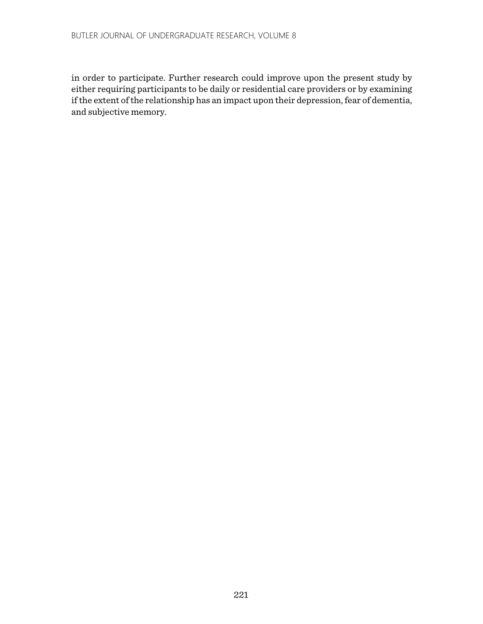in order to participate. Further research could improve upon the present study by either requiring participants to be daily or residential care providers or by examining if the extent of the relationship has an impact upon their depression, fear of dementia, and subjective memory.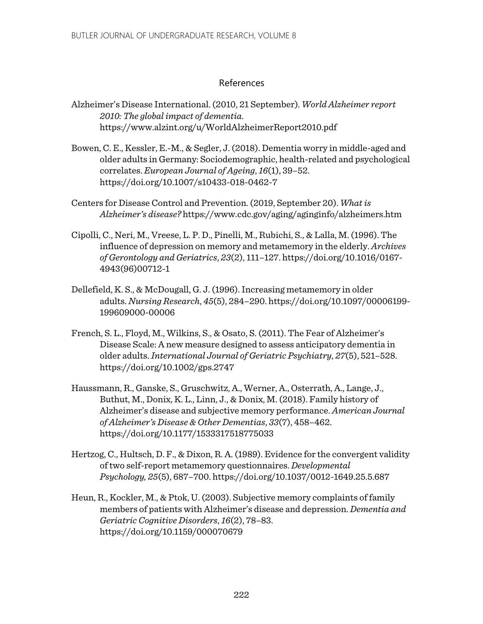# References

- Alzheimer's Disease International. (2010, 21 September). *World Alzheimer report 2010: The global impact of dementia*. https://www.alzint.org/u/WorldAlzheimerReport2010.pdf
- Bowen, C. E., Kessler, E.-M., & Segler, J. (2018). Dementia worry in middle-aged and older adults in Germany: Sociodemographic, health-related and psychological correlates. *European Journal of Ageing*, *16*(1), 39–52. https://doi.org/10.1007/s10433-018-0462-7
- Centers for Disease Control and Prevention. (2019, September 20). *What is Alzheimer's disease?* https://www.cdc.gov/aging/aginginfo/alzheimers.htm
- Cipolli, C., Neri, M., Vreese, L. P. D., Pinelli, M., Rubichi, S., & Lalla, M. (1996). The influence of depression on memory and metamemory in the elderly. *Archives of Gerontology and Geriatrics*, *23*(2), 111–127. https://doi.org/10.1016/0167- 4943(96)00712-1
- Dellefield, K. S., & McDougall, G. J. (1996). Increasing metamemory in older adults. *Nursing Research*, *45*(5), 284–290. https://doi.org/10.1097/00006199- 199609000-00006
- French, S. L., Floyd, M., Wilkins, S., & Osato, S. (2011). The Fear of Alzheimer's Disease Scale: A new measure designed to assess anticipatory dementia in older adults.*International Journal of Geriatric Psychiatry*, *27*(5), 521–528. https://doi.org/10.1002/gps.2747
- Haussmann, R., Ganske, S., Gruschwitz, A., Werner, A., Osterrath, A., Lange, J., Buthut, M., Donix, K. L., Linn, J., & Donix, M. (2018). Family history of Alzheimer's disease and subjective memory performance. *American Journal of Alzheimer's Disease & Other Dementias*, *33*(7), 458–462. https://doi.org/10.1177/1533317518775033
- Hertzog, C., Hultsch, D. F., & Dixon, R. A. (1989). Evidence for the convergent validity of two self-report metamemory questionnaires. *Developmental Psychology, 25*(5), 687–700. https://doi.org/10.1037/0012-1649.25.5.687
- Heun, R., Kockler, M., & Ptok, U. (2003). Subjective memory complaints of family members of patients with Alzheimer's disease and depression. *Dementia and Geriatric Cognitive Disorders*, *16*(2), 78–83. https://doi.org/10.1159/000070679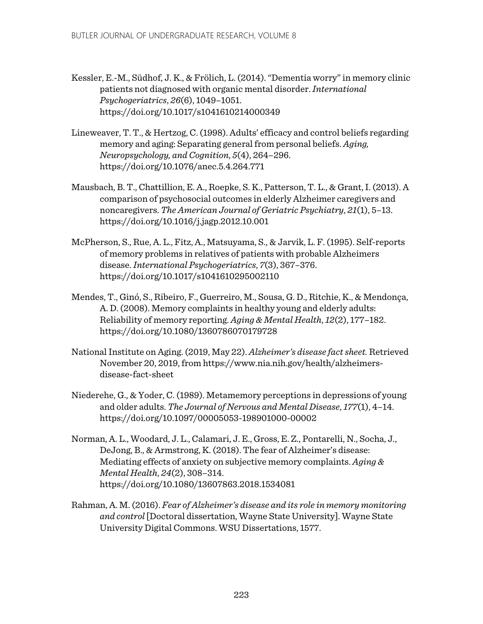- Kessler, E.-M., Südhof, J. K., & Frölich, L. (2014). "Dementia worry"in memory clinic patients not diagnosed with organic mental disorder.*International Psychogeriatrics*, *26*(6), 1049–1051. https://doi.org/10.1017/s1041610214000349
- Lineweaver, T. T., & Hertzog, C. (1998). Adults' efficacy and control beliefs regarding memory and aging: Separating general from personal beliefs. *Aging, Neuropsychology, and Cognition*, *5*(4), 264–296. https://doi.org/10.1076/anec.5.4.264.771
- Mausbach, B. T., Chattillion, E. A., Roepke, S. K., Patterson, T. L., & Grant, I. (2013). A comparison of psychosocial outcomes in elderly Alzheimer caregivers and noncaregivers. *The American Journal of Geriatric Psychiatry*, *21*(1), 5–13. https://doi.org/10.1016/j.jagp.2012.10.001
- McPherson, S., Rue, A. L., Fitz, A., Matsuyama, S., & Jarvik, L. F. (1995). Self-reports of memory problems in relatives of patients with probable Alzheimers disease.*International Psychogeriatrics*, *7*(3), 367–376. https://doi.org/10.1017/s1041610295002110
- Mendes, T., Ginó, S., Ribeiro, F., Guerreiro, M., Sousa, G. D., Ritchie, K., & Mendonça, A. D. (2008). Memory complaints in healthy young and elderly adults: Reliability of memory reporting. *Aging & Mental Health*, *12*(2), 177–182. https://doi.org/10.1080/1360786070179728
- National Institute on Aging. (2019, May 22). *Alzheimer's disease fact sheet.* Retrieved November 20, 2019, from https://www.nia.nih.gov/health/alzheimersdisease-fact-sheet
- Niederehe, G., & Yoder, C. (1989). Metamemory perceptions in depressions of young and older adults. *The Journal of Nervous and Mental Disease*, *177*(1), 4–14. https://doi.org/10.1097/00005053-198901000-00002
- Norman, A. L., Woodard, J. L., Calamari, J. E., Gross, E. Z., Pontarelli, N., Socha, J., DeJong, B., & Armstrong, K. (2018). The fear of Alzheimer's disease: Mediating effects of anxiety on subjective memory complaints. *Aging & Mental Health*, *24*(2), 308–314. https://doi.org/10.1080/13607863.2018.1534081
- Rahman, A. M.(2016). *Fear of Alzheimer's disease and its role in memory monitoring and control* [Doctoral dissertation, Wayne State University]. Wayne State University Digital Commons. WSU Dissertations, 1577.